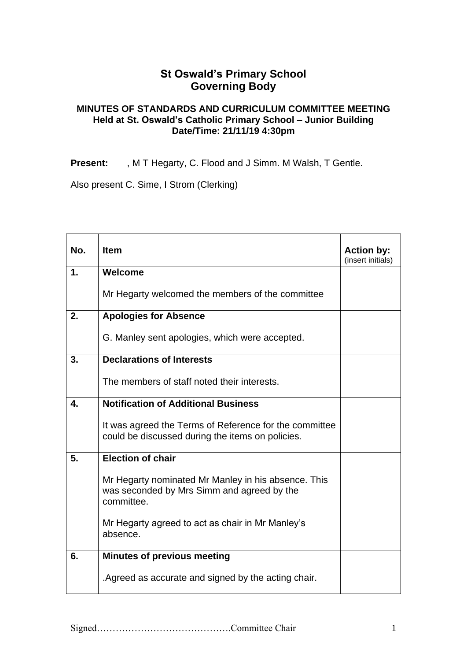## **St Oswald's Primary School Governing Body**

## **MINUTES OF STANDARDS AND CURRICULUM COMMITTEE MEETING Held at St. Oswald's Catholic Primary School – Junior Building Date/Time: 21/11/19 4:30pm**

**Present:** , M T Hegarty, C. Flood and J Simm. M Walsh, T Gentle.

Also present C. Sime, I Strom (Clerking)

| No.           | <b>Item</b>                                                                                                     | <b>Action by:</b><br>(insert initials) |
|---------------|-----------------------------------------------------------------------------------------------------------------|----------------------------------------|
| $\mathbf 1$ . | Welcome                                                                                                         |                                        |
|               | Mr Hegarty welcomed the members of the committee                                                                |                                        |
| 2.            | <b>Apologies for Absence</b>                                                                                    |                                        |
|               | G. Manley sent apologies, which were accepted.                                                                  |                                        |
| 3.            | <b>Declarations of Interests</b>                                                                                |                                        |
|               | The members of staff noted their interests.                                                                     |                                        |
| 4.            | <b>Notification of Additional Business</b>                                                                      |                                        |
|               | It was agreed the Terms of Reference for the committee<br>could be discussed during the items on policies.      |                                        |
| 5.            | <b>Election of chair</b>                                                                                        |                                        |
|               | Mr Hegarty nominated Mr Manley in his absence. This<br>was seconded by Mrs Simm and agreed by the<br>committee. |                                        |
|               | Mr Hegarty agreed to act as chair in Mr Manley's<br>absence.                                                    |                                        |
| 6.            | <b>Minutes of previous meeting</b>                                                                              |                                        |
|               | .Agreed as accurate and signed by the acting chair.                                                             |                                        |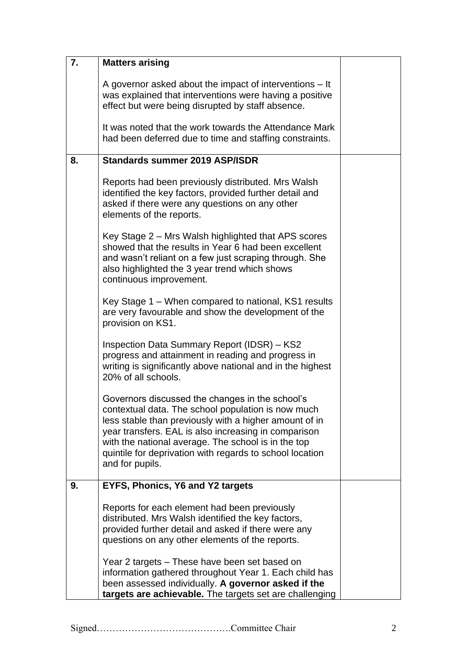| 7. | <b>Matters arising</b>                                                                                                                                                                                                                                                                                                                                        |  |
|----|---------------------------------------------------------------------------------------------------------------------------------------------------------------------------------------------------------------------------------------------------------------------------------------------------------------------------------------------------------------|--|
|    | A governor asked about the impact of interventions – It<br>was explained that interventions were having a positive<br>effect but were being disrupted by staff absence.                                                                                                                                                                                       |  |
|    | It was noted that the work towards the Attendance Mark<br>had been deferred due to time and staffing constraints.                                                                                                                                                                                                                                             |  |
| 8. | <b>Standards summer 2019 ASP/ISDR</b>                                                                                                                                                                                                                                                                                                                         |  |
|    | Reports had been previously distributed. Mrs Walsh<br>identified the key factors, provided further detail and<br>asked if there were any questions on any other<br>elements of the reports.                                                                                                                                                                   |  |
|    | Key Stage 2 – Mrs Walsh highlighted that APS scores<br>showed that the results in Year 6 had been excellent<br>and wasn't reliant on a few just scraping through. She<br>also highlighted the 3 year trend which shows<br>continuous improvement.                                                                                                             |  |
|    | Key Stage 1 – When compared to national, KS1 results<br>are very favourable and show the development of the<br>provision on KS1.                                                                                                                                                                                                                              |  |
|    | Inspection Data Summary Report (IDSR) – KS2<br>progress and attainment in reading and progress in<br>writing is significantly above national and in the highest<br>20% of all schools.                                                                                                                                                                        |  |
|    | Governors discussed the changes in the school's<br>contextual data. The school population is now much<br>less stable than previously with a higher amount of in<br>year transfers. EAL is also increasing in comparison<br>with the national average. The school is in the top<br>quintile for deprivation with regards to school location<br>and for pupils. |  |
| 9. | EYFS, Phonics, Y6 and Y2 targets                                                                                                                                                                                                                                                                                                                              |  |
|    | Reports for each element had been previously<br>distributed. Mrs Walsh identified the key factors,<br>provided further detail and asked if there were any<br>questions on any other elements of the reports.                                                                                                                                                  |  |
|    | Year 2 targets – These have been set based on<br>information gathered throughout Year 1. Each child has<br>been assessed individually. A governor asked if the<br>targets are achievable. The targets set are challenging                                                                                                                                     |  |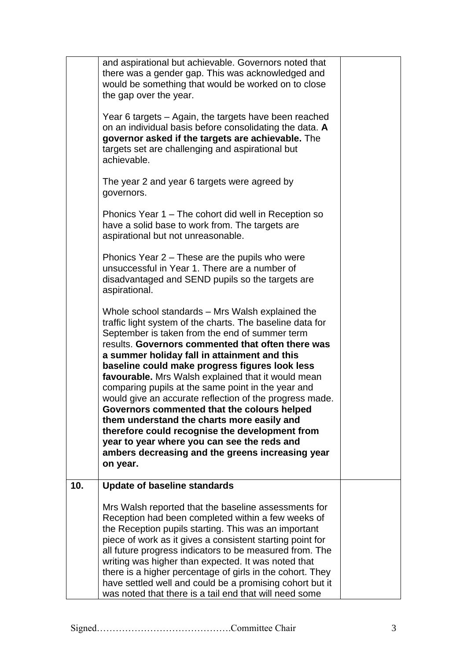|     | aspirational.<br>Whole school standards – Mrs Walsh explained the<br>traffic light system of the charts. The baseline data for<br>September is taken from the end of summer term<br>results. Governors commented that often there was<br>a summer holiday fall in attainment and this<br>baseline could make progress figures look less<br>favourable. Mrs Walsh explained that it would mean<br>comparing pupils at the same point in the year and<br>would give an accurate reflection of the progress made.<br>Governors commented that the colours helped<br>them understand the charts more easily and<br>therefore could recognise the development from<br>year to year where you can see the reds and<br>ambers decreasing and the greens increasing year |  |
|-----|------------------------------------------------------------------------------------------------------------------------------------------------------------------------------------------------------------------------------------------------------------------------------------------------------------------------------------------------------------------------------------------------------------------------------------------------------------------------------------------------------------------------------------------------------------------------------------------------------------------------------------------------------------------------------------------------------------------------------------------------------------------|--|
|     | on year.                                                                                                                                                                                                                                                                                                                                                                                                                                                                                                                                                                                                                                                                                                                                                         |  |
| 10. | <b>Update of baseline standards</b><br>Mrs Walsh reported that the baseline assessments for<br>Reception had been completed within a few weeks of<br>the Reception pupils starting. This was an important<br>piece of work as it gives a consistent starting point for<br>all future progress indicators to be measured from. The<br>writing was higher than expected. It was noted that<br>there is a higher percentage of girls in the cohort. They<br>have settled well and could be a promising cohort but it<br>was noted that there is a tail end that will need some                                                                                                                                                                                      |  |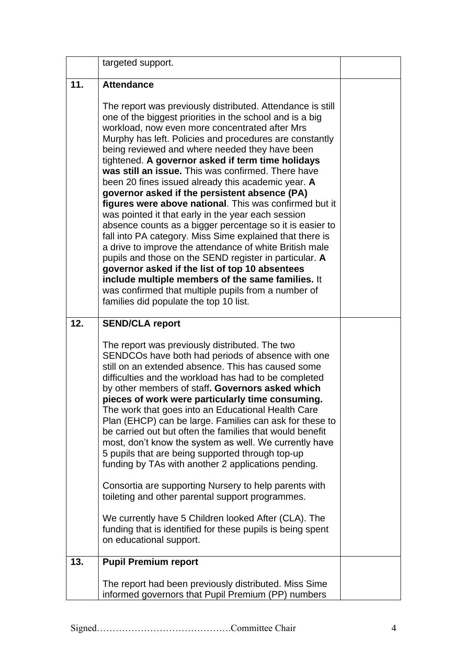|     | targeted support.                                                                                                                                                                                                                                                                                                                                                                                                                                                                                                                                                                                                                                                                                                                                                                                                                                                                                                                                                                                                                                                            |  |
|-----|------------------------------------------------------------------------------------------------------------------------------------------------------------------------------------------------------------------------------------------------------------------------------------------------------------------------------------------------------------------------------------------------------------------------------------------------------------------------------------------------------------------------------------------------------------------------------------------------------------------------------------------------------------------------------------------------------------------------------------------------------------------------------------------------------------------------------------------------------------------------------------------------------------------------------------------------------------------------------------------------------------------------------------------------------------------------------|--|
| 11. | <b>Attendance</b>                                                                                                                                                                                                                                                                                                                                                                                                                                                                                                                                                                                                                                                                                                                                                                                                                                                                                                                                                                                                                                                            |  |
|     | The report was previously distributed. Attendance is still<br>one of the biggest priorities in the school and is a big<br>workload, now even more concentrated after Mrs<br>Murphy has left. Policies and procedures are constantly<br>being reviewed and where needed they have been<br>tightened. A governor asked if term time holidays<br>was still an issue. This was confirmed. There have<br>been 20 fines issued already this academic year. A<br>governor asked if the persistent absence (PA)<br>figures were above national. This was confirmed but it<br>was pointed it that early in the year each session<br>absence counts as a bigger percentage so it is easier to<br>fall into PA category. Miss Sime explained that there is<br>a drive to improve the attendance of white British male<br>pupils and those on the SEND register in particular. A<br>governor asked if the list of top 10 absentees<br>include multiple members of the same families. It<br>was confirmed that multiple pupils from a number of<br>families did populate the top 10 list. |  |
| 12. | <b>SEND/CLA report</b><br>The report was previously distributed. The two<br>SENDCOs have both had periods of absence with one<br>still on an extended absence. This has caused some<br>difficulties and the workload has had to be completed<br>by other members of staff. Governors asked which<br>pieces of work were particularly time consuming.<br>The work that goes into an Educational Health Care<br>Plan (EHCP) can be large. Families can ask for these to<br>be carried out but often the families that would benefit<br>most, don't know the system as well. We currently have<br>5 pupils that are being supported through top-up<br>funding by TAs with another 2 applications pending.<br>Consortia are supporting Nursery to help parents with<br>toileting and other parental support programmes.<br>We currently have 5 Children looked After (CLA). The<br>funding that is identified for these pupils is being spent<br>on educational support.                                                                                                         |  |
| 13. | <b>Pupil Premium report</b>                                                                                                                                                                                                                                                                                                                                                                                                                                                                                                                                                                                                                                                                                                                                                                                                                                                                                                                                                                                                                                                  |  |
|     | The report had been previously distributed. Miss Sime<br>informed governors that Pupil Premium (PP) numbers                                                                                                                                                                                                                                                                                                                                                                                                                                                                                                                                                                                                                                                                                                                                                                                                                                                                                                                                                                  |  |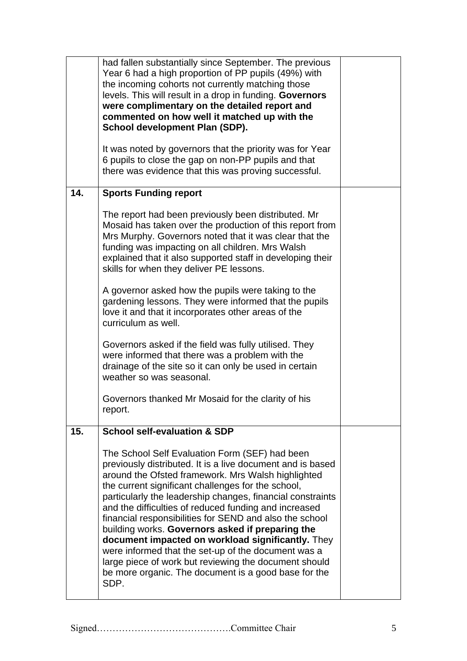|     | had fallen substantially since September. The previous<br>Year 6 had a high proportion of PP pupils (49%) with<br>the incoming cohorts not currently matching those<br>levels. This will result in a drop in funding. Governors<br>were complimentary on the detailed report and<br>commented on how well it matched up with the<br><b>School development Plan (SDP).</b><br>It was noted by governors that the priority was for Year                                                                                                                                                                                                                                                               |  |
|-----|-----------------------------------------------------------------------------------------------------------------------------------------------------------------------------------------------------------------------------------------------------------------------------------------------------------------------------------------------------------------------------------------------------------------------------------------------------------------------------------------------------------------------------------------------------------------------------------------------------------------------------------------------------------------------------------------------------|--|
|     | 6 pupils to close the gap on non-PP pupils and that<br>there was evidence that this was proving successful.                                                                                                                                                                                                                                                                                                                                                                                                                                                                                                                                                                                         |  |
| 14. | <b>Sports Funding report</b>                                                                                                                                                                                                                                                                                                                                                                                                                                                                                                                                                                                                                                                                        |  |
|     | The report had been previously been distributed. Mr<br>Mosaid has taken over the production of this report from<br>Mrs Murphy. Governors noted that it was clear that the<br>funding was impacting on all children. Mrs Walsh<br>explained that it also supported staff in developing their<br>skills for when they deliver PE lessons.                                                                                                                                                                                                                                                                                                                                                             |  |
|     | A governor asked how the pupils were taking to the<br>gardening lessons. They were informed that the pupils<br>love it and that it incorporates other areas of the<br>curriculum as well.                                                                                                                                                                                                                                                                                                                                                                                                                                                                                                           |  |
|     | Governors asked if the field was fully utilised. They<br>were informed that there was a problem with the<br>drainage of the site so it can only be used in certain<br>weather so was seasonal.                                                                                                                                                                                                                                                                                                                                                                                                                                                                                                      |  |
|     | Governors thanked Mr Mosaid for the clarity of his<br>report.                                                                                                                                                                                                                                                                                                                                                                                                                                                                                                                                                                                                                                       |  |
| 15. | <b>School self-evaluation &amp; SDP</b>                                                                                                                                                                                                                                                                                                                                                                                                                                                                                                                                                                                                                                                             |  |
|     | The School Self Evaluation Form (SEF) had been<br>previously distributed. It is a live document and is based<br>around the Ofsted framework. Mrs Walsh highlighted<br>the current significant challenges for the school,<br>particularly the leadership changes, financial constraints<br>and the difficulties of reduced funding and increased<br>financial responsibilities for SEND and also the school<br>building works. Governors asked if preparing the<br>document impacted on workload significantly. They<br>were informed that the set-up of the document was a<br>large piece of work but reviewing the document should<br>be more organic. The document is a good base for the<br>SDP. |  |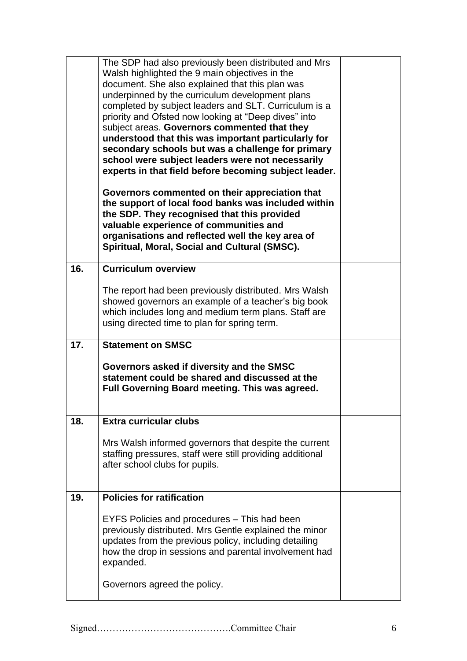|     | The SDP had also previously been distributed and Mrs<br>Walsh highlighted the 9 main objectives in the<br>document. She also explained that this plan was<br>underpinned by the curriculum development plans<br>completed by subject leaders and SLT. Curriculum is a<br>priority and Ofsted now looking at "Deep dives" into<br>subject areas. Governors commented that they<br>understood that this was important particularly for<br>secondary schools but was a challenge for primary<br>school were subject leaders were not necessarily<br>experts in that field before becoming subject leader.<br>Governors commented on their appreciation that<br>the support of local food banks was included within<br>the SDP. They recognised that this provided<br>valuable experience of communities and<br>organisations and reflected well the key area of<br>Spiritual, Moral, Social and Cultural (SMSC). |  |
|-----|---------------------------------------------------------------------------------------------------------------------------------------------------------------------------------------------------------------------------------------------------------------------------------------------------------------------------------------------------------------------------------------------------------------------------------------------------------------------------------------------------------------------------------------------------------------------------------------------------------------------------------------------------------------------------------------------------------------------------------------------------------------------------------------------------------------------------------------------------------------------------------------------------------------|--|
| 16. | <b>Curriculum overview</b><br>The report had been previously distributed. Mrs Walsh<br>showed governors an example of a teacher's big book<br>which includes long and medium term plans. Staff are<br>using directed time to plan for spring term.                                                                                                                                                                                                                                                                                                                                                                                                                                                                                                                                                                                                                                                            |  |
| 17. | <b>Statement on SMSC</b><br>Governors asked if diversity and the SMSC<br>statement could be shared and discussed at the<br>Full Governing Board meeting. This was agreed.                                                                                                                                                                                                                                                                                                                                                                                                                                                                                                                                                                                                                                                                                                                                     |  |
| 18. | <b>Extra curricular clubs</b><br>Mrs Walsh informed governors that despite the current<br>staffing pressures, staff were still providing additional<br>after school clubs for pupils.                                                                                                                                                                                                                                                                                                                                                                                                                                                                                                                                                                                                                                                                                                                         |  |
| 19. | <b>Policies for ratification</b><br>EYFS Policies and procedures – This had been<br>previously distributed. Mrs Gentle explained the minor<br>updates from the previous policy, including detailing<br>how the drop in sessions and parental involvement had<br>expanded.<br>Governors agreed the policy.                                                                                                                                                                                                                                                                                                                                                                                                                                                                                                                                                                                                     |  |